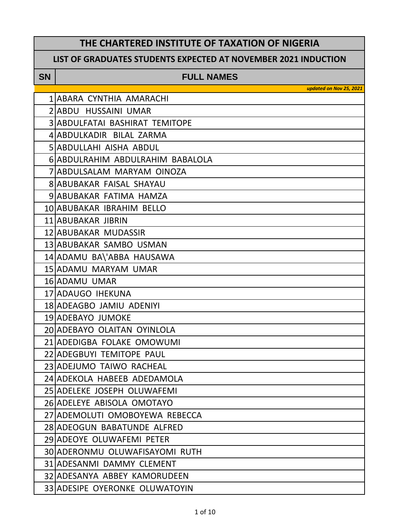### **THE CHARTERED INSTITUTE OF TAXATION OF NIGERIA**

#### **LIST OF GRADUATES STUDENTS EXPECTED AT NOVEMBER 2021 INDUCTION**

#### **SN FULL NAMES**

| 1 ABARA CYNTHIA AMARACHI              |
|---------------------------------------|
| 2 ABDU HUSSAINI UMAR                  |
| <b>3 ABDULFATAI BASHIRAT TEMITOPE</b> |
| 4 ABDULKADIR BILAL ZARMA              |
| <b>5 ABDULLAHI AISHA ABDUL</b>        |
| 6 ABDULRAHIM ABDULRAHIM BABALOLA      |
| 7 ABDULSALAM MARYAM OINOZA            |
| <b>8 ABUBAKAR FAISAL SHAYAU</b>       |
| 9 ABUBAKAR FATIMA HAMZA               |
| 10 ABUBAKAR IBRAHIM BELLO             |
| 11 ABUBAKAR JIBRIN                    |
| 12 ABUBAKAR MUDASSIR                  |
| 13 ABUBAKAR SAMBO USMAN               |
| 14 ADAMU BA\'ABBA HAUSAWA             |
| 15 ADAMU MARYAM UMAR                  |
| 16 ADAMU UMAR                         |
| 17 ADAUGO IHEKUNA                     |
| 18 ADEAGBO JAMIU ADENIYI              |
| 19 ADEBAYO JUMOKE                     |
| 20 ADEBAYO OLAITAN OYINLOLA           |
| 21 ADEDIGBA FOLAKE OMOWUMI            |
| 22 ADEGBUYI TEMITOPE PAUL             |
| 23 ADEJUMO TAIWO RACHEAL              |
| 24 ADEKOLA HABEEB ADEDAMOLA           |
| 25 ADELEKE JOSEPH OLUWAFEMI           |
| 26 ADELEYE ABISOLA OMOTAYO            |
| 27 ADEMOLUTI OMOBOYEWA REBECCA        |
| 28 ADEOGUN BABATUNDE ALFRED           |
| 29 ADEOYE OLUWAFEMI PETER             |
| 30 ADERONMU OLUWAFISAYOMI RUTH        |
| <b>31 ADESANMI DAMMY CLEMENT</b>      |
| 32 ADESANYA ABBEY KAMORUDEEN          |
| 33 ADESIPE OYERONKE OLUWATOYIN        |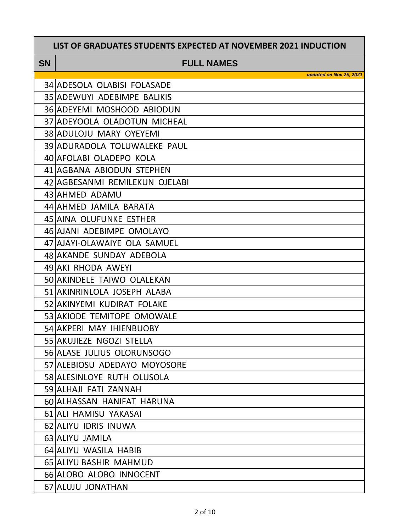#### **SN FULL NAMES**

| 35 ADEWUYI ADEBIMPE BALIKIS<br>36 ADEYEMI MOSHOOD ABIODUN<br>37 ADEYOOLA OLADOTUN MICHEAL<br><b>38 ADULOJU MARY OYEYEMI</b><br>39 ADURADOLA TOLUWALEKE PAUL<br>40 AFOLABI OLADEPO KOLA<br>41 AGBANA ABIODUN STEPHEN<br>42 AGBESANMI REMILEKUN OJELABI<br>43 AHMED ADAMU<br>44 AHMED JAMILA BARATA<br>45 AINA OLUFUNKE ESTHER<br>46 AJANI ADEBIMPE OMOLAYO<br>47 AJAYI-OLAWAIYE OLA SAMUEL<br>48 AKANDE SUNDAY ADEBOLA<br>49 AKI RHODA AWEYI<br>50 AKINDELE TAIWO OLALEKAN<br>51 AKINRINLOLA JOSEPH ALABA<br>52 AKINYEMI KUDIRAT FOLAKE<br>53 AKIODE TEMITOPE OMOWALE<br>54 AKPERI MAY IHIENBUOBY<br>55 AKUJIEZE NGOZI STELLA<br>56 ALASE JULIUS OLORUNSOGO<br>57 ALEBIOSU ADEDAYO MOYOSORE<br>58 ALESINLOYE RUTH OLUSOLA<br>59 ALHAJI FATI ZANNAH<br><b>60 ALHASSAN HANIFAT HARUNA</b><br>61 ALI HAMISU YAKASAI<br>62 ALIYU IDRIS INUWA<br>63 ALIYU JAMILA<br>64 ALIYU WASILA HABIB<br><b>65 ALIYU BASHIR MAHMUD</b><br>66 ALOBO ALOBO INNOCENT<br>67 ALUJU JONATHAN | 34 ADESOLA OLABISI FOLASADE |
|----------------------------------------------------------------------------------------------------------------------------------------------------------------------------------------------------------------------------------------------------------------------------------------------------------------------------------------------------------------------------------------------------------------------------------------------------------------------------------------------------------------------------------------------------------------------------------------------------------------------------------------------------------------------------------------------------------------------------------------------------------------------------------------------------------------------------------------------------------------------------------------------------------------------------------------------------------------------|-----------------------------|
|                                                                                                                                                                                                                                                                                                                                                                                                                                                                                                                                                                                                                                                                                                                                                                                                                                                                                                                                                                      |                             |
|                                                                                                                                                                                                                                                                                                                                                                                                                                                                                                                                                                                                                                                                                                                                                                                                                                                                                                                                                                      |                             |
|                                                                                                                                                                                                                                                                                                                                                                                                                                                                                                                                                                                                                                                                                                                                                                                                                                                                                                                                                                      |                             |
|                                                                                                                                                                                                                                                                                                                                                                                                                                                                                                                                                                                                                                                                                                                                                                                                                                                                                                                                                                      |                             |
|                                                                                                                                                                                                                                                                                                                                                                                                                                                                                                                                                                                                                                                                                                                                                                                                                                                                                                                                                                      |                             |
|                                                                                                                                                                                                                                                                                                                                                                                                                                                                                                                                                                                                                                                                                                                                                                                                                                                                                                                                                                      |                             |
|                                                                                                                                                                                                                                                                                                                                                                                                                                                                                                                                                                                                                                                                                                                                                                                                                                                                                                                                                                      |                             |
|                                                                                                                                                                                                                                                                                                                                                                                                                                                                                                                                                                                                                                                                                                                                                                                                                                                                                                                                                                      |                             |
|                                                                                                                                                                                                                                                                                                                                                                                                                                                                                                                                                                                                                                                                                                                                                                                                                                                                                                                                                                      |                             |
|                                                                                                                                                                                                                                                                                                                                                                                                                                                                                                                                                                                                                                                                                                                                                                                                                                                                                                                                                                      |                             |
|                                                                                                                                                                                                                                                                                                                                                                                                                                                                                                                                                                                                                                                                                                                                                                                                                                                                                                                                                                      |                             |
|                                                                                                                                                                                                                                                                                                                                                                                                                                                                                                                                                                                                                                                                                                                                                                                                                                                                                                                                                                      |                             |
|                                                                                                                                                                                                                                                                                                                                                                                                                                                                                                                                                                                                                                                                                                                                                                                                                                                                                                                                                                      |                             |
|                                                                                                                                                                                                                                                                                                                                                                                                                                                                                                                                                                                                                                                                                                                                                                                                                                                                                                                                                                      |                             |
|                                                                                                                                                                                                                                                                                                                                                                                                                                                                                                                                                                                                                                                                                                                                                                                                                                                                                                                                                                      |                             |
|                                                                                                                                                                                                                                                                                                                                                                                                                                                                                                                                                                                                                                                                                                                                                                                                                                                                                                                                                                      |                             |
|                                                                                                                                                                                                                                                                                                                                                                                                                                                                                                                                                                                                                                                                                                                                                                                                                                                                                                                                                                      |                             |
|                                                                                                                                                                                                                                                                                                                                                                                                                                                                                                                                                                                                                                                                                                                                                                                                                                                                                                                                                                      |                             |
|                                                                                                                                                                                                                                                                                                                                                                                                                                                                                                                                                                                                                                                                                                                                                                                                                                                                                                                                                                      |                             |
|                                                                                                                                                                                                                                                                                                                                                                                                                                                                                                                                                                                                                                                                                                                                                                                                                                                                                                                                                                      |                             |
|                                                                                                                                                                                                                                                                                                                                                                                                                                                                                                                                                                                                                                                                                                                                                                                                                                                                                                                                                                      |                             |
|                                                                                                                                                                                                                                                                                                                                                                                                                                                                                                                                                                                                                                                                                                                                                                                                                                                                                                                                                                      |                             |
|                                                                                                                                                                                                                                                                                                                                                                                                                                                                                                                                                                                                                                                                                                                                                                                                                                                                                                                                                                      |                             |
|                                                                                                                                                                                                                                                                                                                                                                                                                                                                                                                                                                                                                                                                                                                                                                                                                                                                                                                                                                      |                             |
|                                                                                                                                                                                                                                                                                                                                                                                                                                                                                                                                                                                                                                                                                                                                                                                                                                                                                                                                                                      |                             |
|                                                                                                                                                                                                                                                                                                                                                                                                                                                                                                                                                                                                                                                                                                                                                                                                                                                                                                                                                                      |                             |
|                                                                                                                                                                                                                                                                                                                                                                                                                                                                                                                                                                                                                                                                                                                                                                                                                                                                                                                                                                      |                             |
|                                                                                                                                                                                                                                                                                                                                                                                                                                                                                                                                                                                                                                                                                                                                                                                                                                                                                                                                                                      |                             |
|                                                                                                                                                                                                                                                                                                                                                                                                                                                                                                                                                                                                                                                                                                                                                                                                                                                                                                                                                                      |                             |
|                                                                                                                                                                                                                                                                                                                                                                                                                                                                                                                                                                                                                                                                                                                                                                                                                                                                                                                                                                      |                             |
|                                                                                                                                                                                                                                                                                                                                                                                                                                                                                                                                                                                                                                                                                                                                                                                                                                                                                                                                                                      |                             |
|                                                                                                                                                                                                                                                                                                                                                                                                                                                                                                                                                                                                                                                                                                                                                                                                                                                                                                                                                                      |                             |
|                                                                                                                                                                                                                                                                                                                                                                                                                                                                                                                                                                                                                                                                                                                                                                                                                                                                                                                                                                      |                             |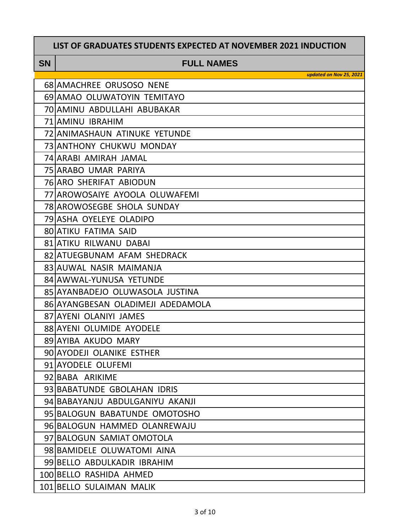### **SN FULL NAMES**

| <b>68 AMACHREE ORUSOSO NENE</b>   |
|-----------------------------------|
| 69 AMAO OLUWATOYIN TEMITAYO       |
| 70 AMINU ABDULLAHI ABUBAKAR       |
| 71 AMINU IBRAHIM                  |
| 72 ANIMASHAUN ATINUKE YETUNDE     |
| 73 ANTHONY CHUKWU MONDAY          |
| 74 ARABI AMIRAH JAMAL             |
| 75 ARABO UMAR PARIYA              |
| 76 ARO SHERIFAT ABIODUN           |
| 77 AROWOSAIYE AYOOLA OLUWAFEMI    |
| 78 AROWOSEGBE SHOLA SUNDAY        |
| 79 ASHA OYELEYE OLADIPO           |
| <b>80 ATIKU FATIMA SAID</b>       |
| <b>81 ATIKU RILWANU DABAI</b>     |
| 82 ATUEGBUNAM AFAM SHEDRACK       |
| 83 AUWAL NASIR MAIMANJA           |
| 84 AWWAL-YUNUSA YETUNDE           |
| 85 AYANBADEJO OLUWASOLA JUSTINA   |
| 86 AYANGBESAN OLADIMEJI ADEDAMOLA |
| 87 AYENI OLANIYI JAMES            |
| 88 AYENI OLUMIDE AYODELE          |
| 89 AYIBA AKUDO MARY               |
| 90 AYODEJI OLANIKE ESTHER         |
| 91 AYODELE OLUFEMI                |
| 92 BABA ARIKIME                   |
| 93 BABATUNDE GBOLAHAN IDRIS       |
| 94 BABAYANJU ABDULGANIYU AKANJI   |
| 95 BALOGUN BABATUNDE OMOTOSHO     |
| 96 BALOGUN HAMMED OLANREWAJU      |
| 97 BALOGUN SAMIAT OMOTOLA         |
| 98 BAMIDELE OLUWATOMI AINA        |
| 99 BELLO ABDULKADIR IBRAHIM       |
| 100 BELLO RASHIDA AHMED           |
|                                   |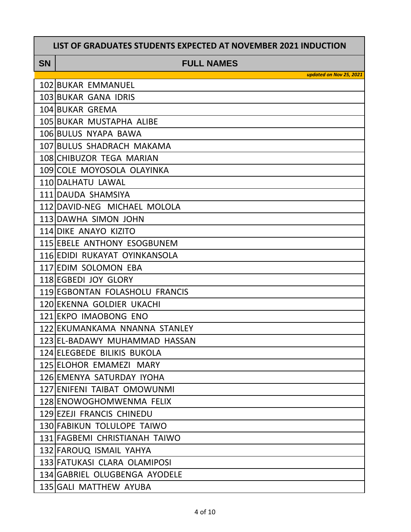**SN FULL NAMES**

| 102 BUKAR EMMANUEL             |
|--------------------------------|
| 103 BUKAR GANA IDRIS           |
| 104 BUKAR GREMA                |
| 105 BUKAR MUSTAPHA ALIBE       |
| 106 BULUS NYAPA BAWA           |
| 107 BULUS SHADRACH MAKAMA      |
| 108 CHIBUZOR TEGA MARIAN       |
| 109 COLE MOYOSOLA OLAYINKA     |
| 110 DALHATU LAWAL              |
| 111 DAUDA SHAMSIYA             |
| 112 DAVID-NEG MICHAEL MOLOLA   |
| 113 DAWHA SIMON JOHN           |
| <b>114 DIKE ANAYO KIZITO</b>   |
| 115 EBELE ANTHONY ESOGBUNEM    |
| 116 EDIDI RUKAYAT OYINKANSOLA  |
| 117 EDIM SOLOMON EBA           |
| 118 EGBEDI JOY GLORY           |
| 119 EGBONTAN FOLASHOLU FRANCIS |
| 120 EKENNA GOLDIER UKACHI      |
| 121 EKPO IMAOBONG ENO          |
| 122 EKUMANKAMA NNANNA STANLEY  |
| 123 EL-BADAWY MUHAMMAD HASSAN  |
| 124 ELEGBEDE BILIKIS BUKOLA    |
| 125 ELOHOR EMAMEZI MARY        |
| 126 EMENYA SATURDAY IYOHA      |
| 127 ENIFENI TAIBAT OMOWUNMI    |
| 128 ENOWOGHOMWENMA FELIX       |
| 129 EZEJI FRANCIS CHINEDU      |
| 130 FABIKUN TOLULOPE TAIWO     |
| 131 FAGBEMI CHRISTIANAH TAIWO  |
| 132 FAROUQ ISMAIL YAHYA        |
| 133 FATUKASI CLARA OLAMIPOSI   |
| 134 GABRIEL OLUGBENGA AYODELE  |
| 135 GALI MATTHEW AYUBA         |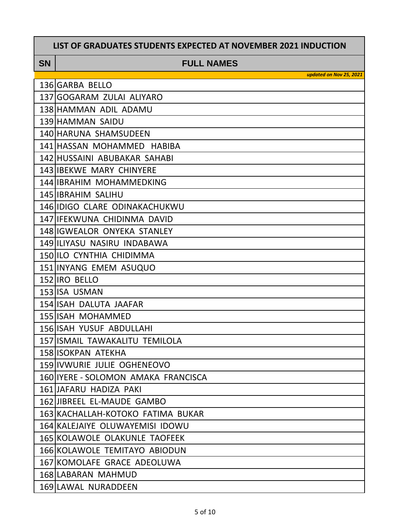### **SN FULL NAMES**

| 136 GARBA BELLO                      |
|--------------------------------------|
| 137 GOGARAM ZULAI ALIYARO            |
| 138 HAMMAN ADIL ADAMU                |
| 139 HAMMAN SAIDU                     |
| 140 HARUNA SHAMSUDEEN                |
| 141 HASSAN MOHAMMED HABIBA           |
| 142 HUSSAINI ABUBAKAR SAHABI         |
| 143 IBEKWE MARY CHINYERE             |
| 144 IBRAHIM MOHAMMEDKING             |
| 145 IBRAHIM SALIHU                   |
| 146 IDIGO CLARE ODINAKACHUKWU        |
| 147 IFEKWUNA CHIDINMA DAVID          |
| <b>148 IGWEALOR ONYEKA STANLEY</b>   |
| 149 ILIYASU NASIRU INDABAWA          |
| 150 ILO CYNTHIA CHIDIMMA             |
| 151 INYANG EMEM ASUQUO               |
| 152 IRO BELLO                        |
| 153 ISA USMAN                        |
| 154 ISAH DALUTA JAAFAR               |
| 155 ISAH MOHAMMED                    |
| <b>156 ISAH YUSUF ABDULLAHI</b>      |
| 157 ISMAIL TAWAKALITU TEMILOLA       |
| <b>158 ISOKPAN ATEKHA</b>            |
| 159 IVWURIE JULIE OGHENEOVO          |
| 160 IYERE - SOLOMON AMAKA FRANCISCA  |
| 161 JAFARU HADIZA PAKI               |
| 162 JIBREEL EL-MAUDE GAMBO           |
| 163 KACHALLAH-KOTOKO FATIMA BUKAR    |
| 164 KALEJAIYE OLUWAYEMISI IDOWU      |
| <b>165 KOLAWOLE OLAKUNLE TAOFEEK</b> |
| 166 KOLAWOLE TEMITAYO ABIODUN        |
| 167 KOMOLAFE GRACE ADEOLUWA          |
| 168 LABARAN MAHMUD                   |
| 169 LAWAL NURADDEEN                  |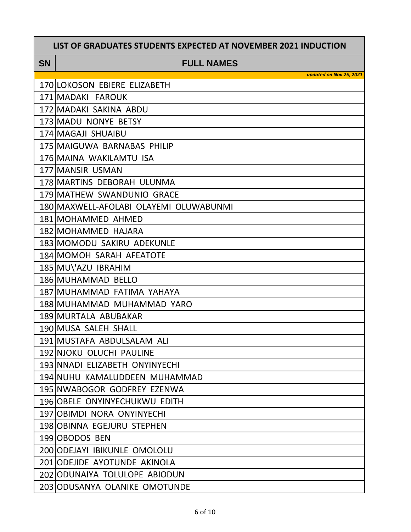#### **SN FULL NAMES**

| 170 LOKOSON EBIERE ELIZABETH           |
|----------------------------------------|
| 171 MADAKI FAROUK                      |
| 172 MADAKI SAKINA ABDU                 |
| 173 MADU NONYE BETSY                   |
| 174 MAGAJI SHUAIBU                     |
| 175 MAIGUWA BARNABAS PHILIP            |
| 176 MAINA WAKILAMTU ISA                |
| 177 MANSIR USMAN                       |
| 178 MARTINS DEBORAH ULUNMA             |
| 179 MATHEW SWANDUNIO GRACE             |
| 180 MAXWELL-AFOLABI OLAYEMI OLUWABUNMI |
| 181 MOHAMMED AHMED                     |
| 182 MOHAMMED HAJARA                    |
| 183 MOMODU SAKIRU ADEKUNLE             |
| 184 MOMOH SARAH AFEATOTE               |
| 185 MU\'AZU IBRAHIM                    |
| 186 MUHAMMAD BELLO                     |
| 187 MUHAMMAD FATIMA YAHAYA             |
| 188 MUHAMMAD MUHAMMAD YARO             |
| 189 MURTALA ABUBAKAR                   |
| 190 MUSA SALEH SHALL                   |
| 191 MUSTAFA ABDULSALAM ALI             |
| 192 NJOKU OLUCHI PAULINE               |
| 193 NNADI ELIZABETH ONYINYECHI         |
| 194 NUHU KAMALUDDEEN MUHAMMAD          |
| 195 NWABOGOR GODFREY EZENWA            |
| 196 OBELE ONYINYECHUKWU EDITH          |
| 197 OBIMDI NORA ONYINYECHI             |
| 198 OBINNA EGEJURU STEPHEN             |
| 199 OBODOS BEN                         |
| 200 ODEJAYI IBIKUNLE OMOLOLU           |
| 201 ODEJIDE AYOTUNDE AKINOLA           |
| 202 ODUNAIYA TOLULOPE ABIODUN          |
|                                        |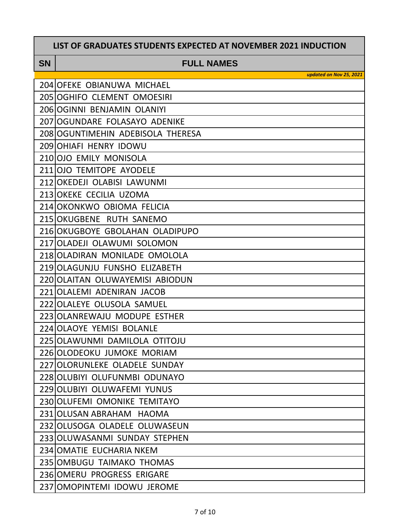### **SN FULL NAMES**

| 204 OFEKE OBIANUWA MICHAEL        |
|-----------------------------------|
| 205 OGHIFO CLEMENT OMOESIRI       |
| 206 OGINNI BENJAMIN OLANIYI       |
| 207 OGUNDARE FOLASAYO ADENIKE     |
| 208 OGUNTIMEHIN ADEBISOLA THERESA |
| 209 OHIAFI HENRY IDOWU            |
| 210 OJO EMILY MONISOLA            |
| 211 OJO TEMITOPE AYODELE          |
| 212 OKEDEJI OLABISI LAWUNMI       |
| 213 OKEKE CECILIA UZOMA           |
| 214 OKONKWO OBIOMA FELICIA        |
| 215 OKUGBENE RUTH SANEMO          |
| 216 OKUGBOYE GBOLAHAN OLADIPUPO   |
| 217 OLADEJI OLAWUMI SOLOMON       |
| 218 OLADIRAN MONILADE OMOLOLA     |
| 219 OLAGUNJU FUNSHO ELIZABETH     |
| 220 OLAITAN OLUWAYEMISI ABIODUN   |
| 221 OLALEMI ADENIRAN JACOB        |
| 222 OLALEYE OLUSOLA SAMUEL        |
| 223 OLANREWAJU MODUPE ESTHER      |
| 224 OLAOYE YEMISI BOLANLE         |
| 225 OLAWUNMI DAMILOLA OTITOJU     |
| 226 OLODEOKU JUMOKE MORIAM        |
| 227 OLORUNLEKE OLADELE SUNDAY     |
| 228 OLUBIYI OLUFUNMBI ODUNAYO     |
| 229 OLUBIYI OLUWAFEMI YUNUS       |
| 230 OLUFEMI OMONIKE TEMITAYO      |
| 231 OLUSAN ABRAHAM HAOMA          |
| 232 OLUSOGA OLADELE OLUWASEUN     |
| 233 OLUWASANMI SUNDAY STEPHEN     |
| 234 OMATIE EUCHARIA NKEM          |
| 235   OMBUGU TAIMAKO THOMAS       |
| 236 OMERU PROGRESS ERIGARE        |
| 237 OMOPINTEMI IDOWU JEROME       |
|                                   |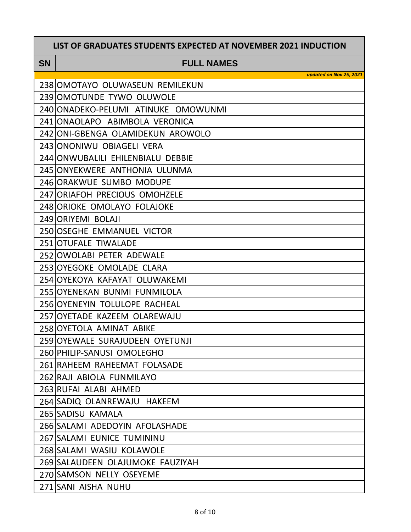|           | LIST OF GRADUATES STUDENTS EXPECTED AT NOVEMBER 2021 INDUCTION |
|-----------|----------------------------------------------------------------|
| <b>SN</b> | <b>FULL NAMES</b>                                              |
|           | updated on Nov 25, 2021                                        |
|           | 238 OMOTAYO OLUWASEUN REMILEKUN                                |
|           | 239 OMOTUNDE TYWO OLUWOLE                                      |
|           | 240 ONADEKO-PELUMI ATINUKE OMOWUNMI                            |
|           | 241 ONAOLAPO ABIMBOLA VERONICA                                 |
|           | 242 ONI-GBENGA OLAMIDEKUN AROWOLO                              |
|           | 243 ONONIWU OBIAGELI VERA                                      |
|           | 244 ONWUBALILI EHILENBIALU DEBBIE                              |
|           | 245 ONYEKWERE ANTHONIA ULUNMA                                  |
|           | 246 ORAKWUE SUMBO MODUPE                                       |
|           | 247 ORIAFOH PRECIOUS OMOHZELE                                  |
|           | 248 ORIOKE OMOLAYO FOLAJOKE                                    |
|           | 249 ORIYEMI BOLAJI                                             |
|           | 250 OSEGHE EMMANUEL VICTOR                                     |
|           | 251 OTUFALE TIWALADE                                           |
|           | 252 OWOLABI PETER ADEWALE                                      |
|           | 253 OYEGOKE OMOLADE CLARA                                      |
|           | 254 OYEKOYA KAFAYAT OLUWAKEMI                                  |
|           | 255 OYENEKAN BUNMI FUNMILOLA                                   |
|           | 256 OYENEYIN TOLULOPE RACHEAL                                  |
|           | 257 OYETADE KAZEEM OLAREWAJU                                   |
|           | 258 OYETOLA AMINAT ABIKE                                       |
|           | 259 OYEWALE SURAJUDEEN OYETUNJI                                |
|           | 260 PHILIP-SANUSI OMOLEGHO                                     |
|           | 261 RAHEEM RAHEEMAT FOLASADE                                   |
|           | 262 RAJI ABIOLA FUNMILAYO                                      |
|           | 263 RUFAI ALABI AHMED                                          |
|           | 264 SADIQ OLANREWAJU HAKEEM                                    |
|           | 265 SADISU KAMALA                                              |
|           | 266 SALAMI ADEDOYIN AFOLASHADE                                 |
|           | 267 SALAMI EUNICE TUMININU                                     |
|           | 268 SALAMI WASIU KOLAWOLE                                      |
|           | 269 SALAUDEEN OLAJUMOKE FAUZIYAH                               |
|           | 270 SAMSON NELLY OSEYEME                                       |
|           | 271 SANI AISHA NUHU                                            |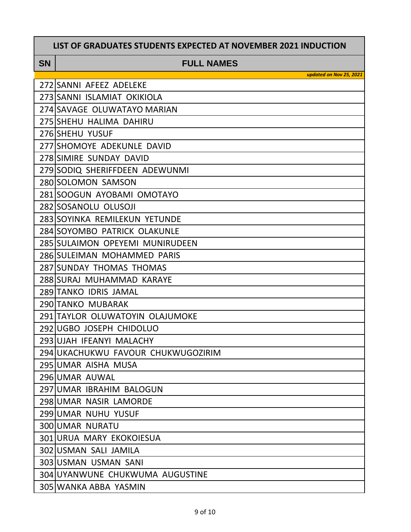#### **SN FULL NAMES**

| 272 SANNI AFEEZ ADELEKE            |
|------------------------------------|
| 273 SANNI ISLAMIAT OKIKIOLA        |
| 274 SAVAGE OLUWATAYO MARIAN        |
| 275 SHEHU HALIMA DAHIRU            |
| 276 SHEHU YUSUF                    |
| 277 SHOMOYE ADEKUNLE DAVID         |
| 278 SIMIRE SUNDAY DAVID            |
| 279 SODIQ SHERIFFDEEN ADEWUNMI     |
| 280 SOLOMON SAMSON                 |
| 281 SOOGUN AYOBAMI OMOTAYO         |
| 282 SOSANOLU OLUSOJI               |
| 283 SOYINKA REMILEKUN YETUNDE      |
| 284 SOYOMBO PATRICK OLAKUNLE       |
| 285 SULAIMON OPEYEMI MUNIRUDEEN    |
| 286 SULEIMAN MOHAMMED PARIS        |
| 287 SUNDAY THOMAS THOMAS           |
| 288 SURAJ MUHAMMAD KARAYE          |
| 289 TANKO IDRIS JAMAL              |
| 290 TANKO MUBARAK                  |
| 291 TAYLOR OLUWATOYIN OLAJUMOKE    |
| 292 UGBO JOSEPH CHIDOLUO           |
| 293 UJAH IFEANYI MALACHY           |
| 294 UKACHUKWU FAVOUR CHUKWUGOZIRIM |
| 295 UMAR AISHA MUSA                |
| 296 UMAR AUWAL                     |
| 297 UMAR IBRAHIM BALOGUN           |
| 298 UMAR NASIR LAMORDE             |
| 299 UMAR NUHU YUSUF                |
| <b>300 UMAR NURATU</b>             |
| 301 URUA MARY EKOKOIESUA           |
| 302 USMAN SALI JAMILA              |
| 303 USMAN USMAN SANI               |
| 304 UYANWUNE CHUKWUMA AUGUSTINE    |
| 305 WANKA ABBA YASMIN              |